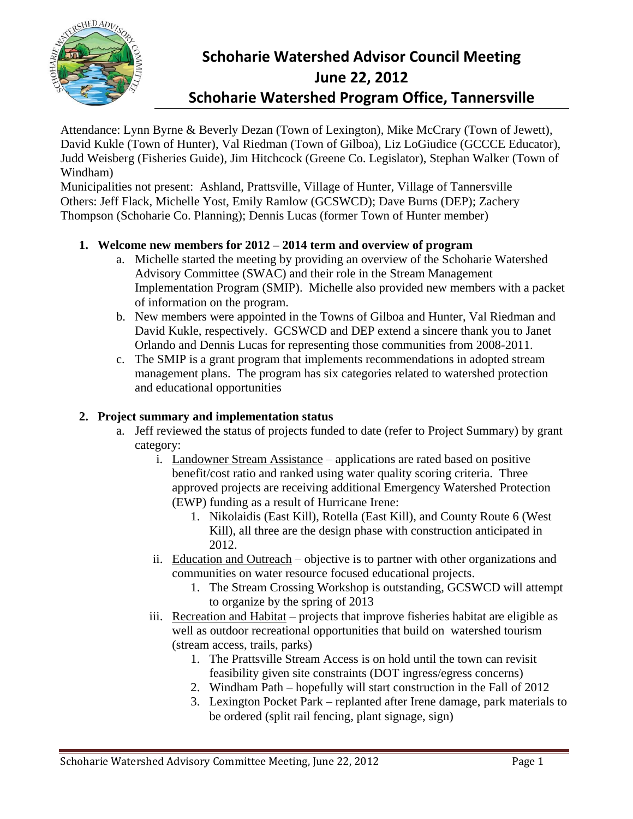

# **Schoharie Watershed Advisor Council Meeting June 22, 2012 Schoharie Watershed Program Office, Tannersville**

Attendance: Lynn Byrne & Beverly Dezan (Town of Lexington), Mike McCrary (Town of Jewett), David Kukle (Town of Hunter), Val Riedman (Town of Gilboa), Liz LoGiudice (GCCCE Educator), Judd Weisberg (Fisheries Guide), Jim Hitchcock (Greene Co. Legislator), Stephan Walker (Town of Windham)

Municipalities not present: Ashland, Prattsville, Village of Hunter, Village of Tannersville Others: Jeff Flack, Michelle Yost, Emily Ramlow (GCSWCD); Dave Burns (DEP); Zachery Thompson (Schoharie Co. Planning); Dennis Lucas (former Town of Hunter member)

## **1. Welcome new members for 2012 – 2014 term and overview of program**

- a. Michelle started the meeting by providing an overview of the Schoharie Watershed Advisory Committee (SWAC) and their role in the Stream Management Implementation Program (SMIP). Michelle also provided new members with a packet of information on the program.
- b. New members were appointed in the Towns of Gilboa and Hunter, Val Riedman and David Kukle, respectively. GCSWCD and DEP extend a sincere thank you to Janet Orlando and Dennis Lucas for representing those communities from 2008-2011.
- c. The SMIP is a grant program that implements recommendations in adopted stream management plans. The program has six categories related to watershed protection and educational opportunities

#### **2. Project summary and implementation status**

- a. Jeff reviewed the status of projects funded to date (refer to Project Summary) by grant category:
	- i. Landowner Stream Assistance applications are rated based on positive benefit/cost ratio and ranked using water quality scoring criteria. Three approved projects are receiving additional Emergency Watershed Protection (EWP) funding as a result of Hurricane Irene:
		- 1. Nikolaidis (East Kill), Rotella (East Kill), and County Route 6 (West Kill), all three are the design phase with construction anticipated in 2012.
	- ii. Education and Outreach objective is to partner with other organizations and communities on water resource focused educational projects.
		- 1. The Stream Crossing Workshop is outstanding, GCSWCD will attempt to organize by the spring of 2013
	- iii. Recreation and Habitat projects that improve fisheries habitat are eligible as well as outdoor recreational opportunities that build on watershed tourism (stream access, trails, parks)
		- 1. The Prattsville Stream Access is on hold until the town can revisit feasibility given site constraints (DOT ingress/egress concerns)
		- 2. Windham Path hopefully will start construction in the Fall of 2012
		- 3. Lexington Pocket Park replanted after Irene damage, park materials to be ordered (split rail fencing, plant signage, sign)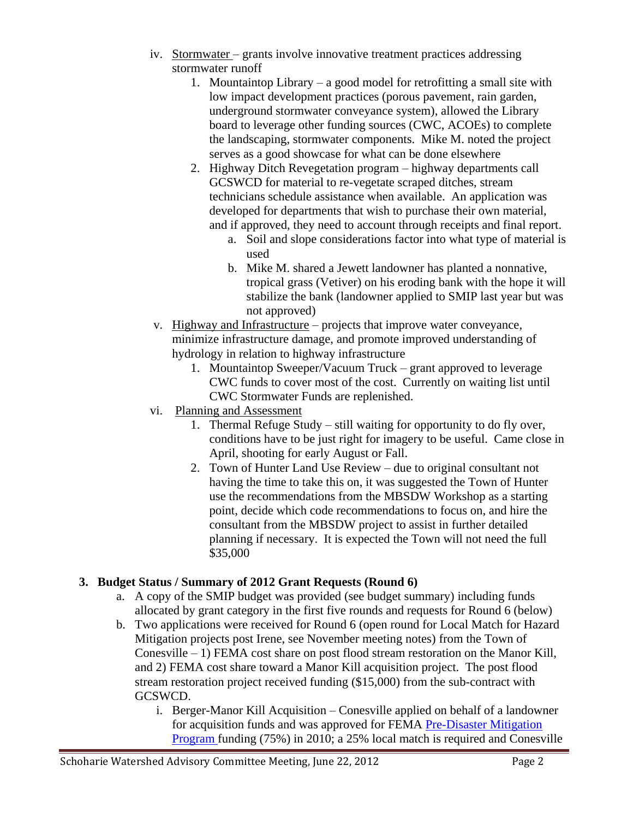- iv. Stormwater grants involve innovative treatment practices addressing stormwater runoff
	- 1. Mountaintop Library a good model for retrofitting a small site with low impact development practices (porous pavement, rain garden, underground stormwater conveyance system), allowed the Library board to leverage other funding sources (CWC, ACOEs) to complete the landscaping, stormwater components. Mike M. noted the project serves as a good showcase for what can be done elsewhere
	- 2. Highway Ditch Revegetation program highway departments call GCSWCD for material to re-vegetate scraped ditches, stream technicians schedule assistance when available. An application was developed for departments that wish to purchase their own material, and if approved, they need to account through receipts and final report.
		- a. Soil and slope considerations factor into what type of material is used
		- b. Mike M. shared a Jewett landowner has planted a nonnative, tropical grass (Vetiver) on his eroding bank with the hope it will stabilize the bank (landowner applied to SMIP last year but was not approved)
- v. Highway and Infrastructure projects that improve water conveyance, minimize infrastructure damage, and promote improved understanding of hydrology in relation to highway infrastructure
	- 1. Mountaintop Sweeper/Vacuum Truck grant approved to leverage CWC funds to cover most of the cost. Currently on waiting list until CWC Stormwater Funds are replenished.
- vi. Planning and Assessment
	- 1. Thermal Refuge Study still waiting for opportunity to do fly over, conditions have to be just right for imagery to be useful. Came close in April, shooting for early August or Fall.
	- 2. Town of Hunter Land Use Review due to original consultant not having the time to take this on, it was suggested the Town of Hunter use the recommendations from the MBSDW Workshop as a starting point, decide which code recommendations to focus on, and hire the consultant from the MBSDW project to assist in further detailed planning if necessary. It is expected the Town will not need the full \$35,000

# **3. Budget Status / Summary of 2012 Grant Requests (Round 6)**

- a. A copy of the SMIP budget was provided (see budget summary) including funds allocated by grant category in the first five rounds and requests for Round 6 (below)
- b. Two applications were received for Round 6 (open round for Local Match for Hazard Mitigation projects post Irene, see November meeting notes) from the Town of Conesville – 1) FEMA cost share on post flood stream restoration on the Manor Kill, and 2) FEMA cost share toward a Manor Kill acquisition project. The post flood stream restoration project received funding (\$15,000) from the sub-contract with GCSWCD.
	- i. Berger-Manor Kill Acquisition Conesville applied on behalf of a landowner for acquisition funds and was approved for FEMA [Pre-Disaster Mitigation](http://www.fema.gov/government/grant/pdm/)  [Program f](http://www.fema.gov/government/grant/pdm/)unding (75%) in 2010; a 25% local match is required and Conesville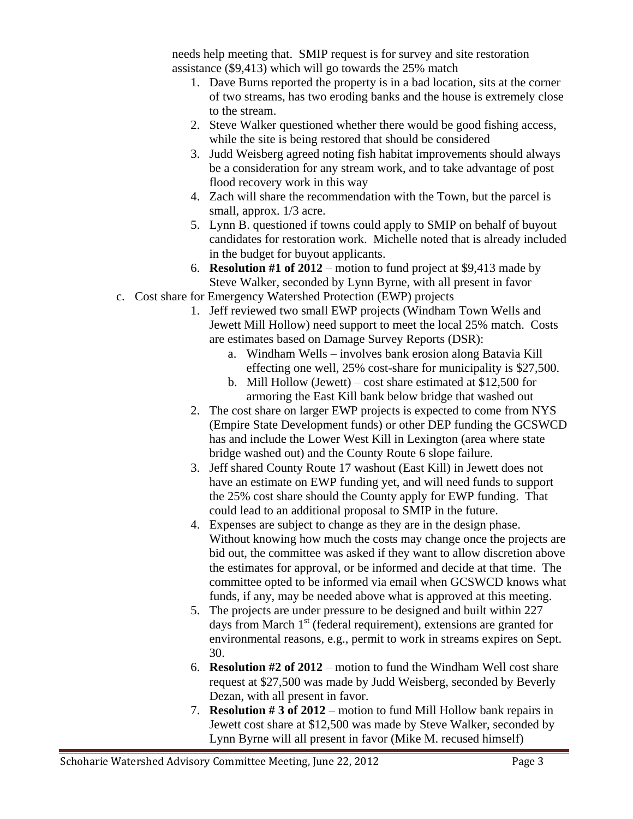needs help meeting that. SMIP request is for survey and site restoration assistance (\$9,413) which will go towards the 25% match

- 1. Dave Burns reported the property is in a bad location, sits at the corner of two streams, has two eroding banks and the house is extremely close to the stream.
- 2. Steve Walker questioned whether there would be good fishing access, while the site is being restored that should be considered
- 3. Judd Weisberg agreed noting fish habitat improvements should always be a consideration for any stream work, and to take advantage of post flood recovery work in this way
- 4. Zach will share the recommendation with the Town, but the parcel is small, approx.  $1/3$  acre.
- 5. Lynn B. questioned if towns could apply to SMIP on behalf of buyout candidates for restoration work. Michelle noted that is already included in the budget for buyout applicants.
- 6. **Resolution #1 of 2012** motion to fund project at \$9,413 made by Steve Walker, seconded by Lynn Byrne, with all present in favor
- c. Cost share for Emergency Watershed Protection (EWP) projects
	- 1. Jeff reviewed two small EWP projects (Windham Town Wells and Jewett Mill Hollow) need support to meet the local 25% match. Costs are estimates based on Damage Survey Reports (DSR):
		- a. Windham Wells involves bank erosion along Batavia Kill effecting one well, 25% cost-share for municipality is \$27,500.
		- b. Mill Hollow (Jewett) cost share estimated at \$12,500 for armoring the East Kill bank below bridge that washed out
	- 2. The cost share on larger EWP projects is expected to come from NYS (Empire State Development funds) or other DEP funding the GCSWCD has and include the Lower West Kill in Lexington (area where state bridge washed out) and the County Route 6 slope failure.
	- 3. Jeff shared County Route 17 washout (East Kill) in Jewett does not have an estimate on EWP funding yet, and will need funds to support the 25% cost share should the County apply for EWP funding. That could lead to an additional proposal to SMIP in the future.
	- 4. Expenses are subject to change as they are in the design phase. Without knowing how much the costs may change once the projects are bid out, the committee was asked if they want to allow discretion above the estimates for approval, or be informed and decide at that time. The committee opted to be informed via email when GCSWCD knows what funds, if any, may be needed above what is approved at this meeting.
	- 5. The projects are under pressure to be designed and built within 227 days from March  $1<sup>st</sup>$  (federal requirement), extensions are granted for environmental reasons, e.g., permit to work in streams expires on Sept. 30.
	- 6. **Resolution #2 of 2012** motion to fund the Windham Well cost share request at \$27,500 was made by Judd Weisberg, seconded by Beverly Dezan, with all present in favor.
	- 7. **Resolution # 3 of 2012** motion to fund Mill Hollow bank repairs in Jewett cost share at \$12,500 was made by Steve Walker, seconded by Lynn Byrne will all present in favor (Mike M. recused himself)